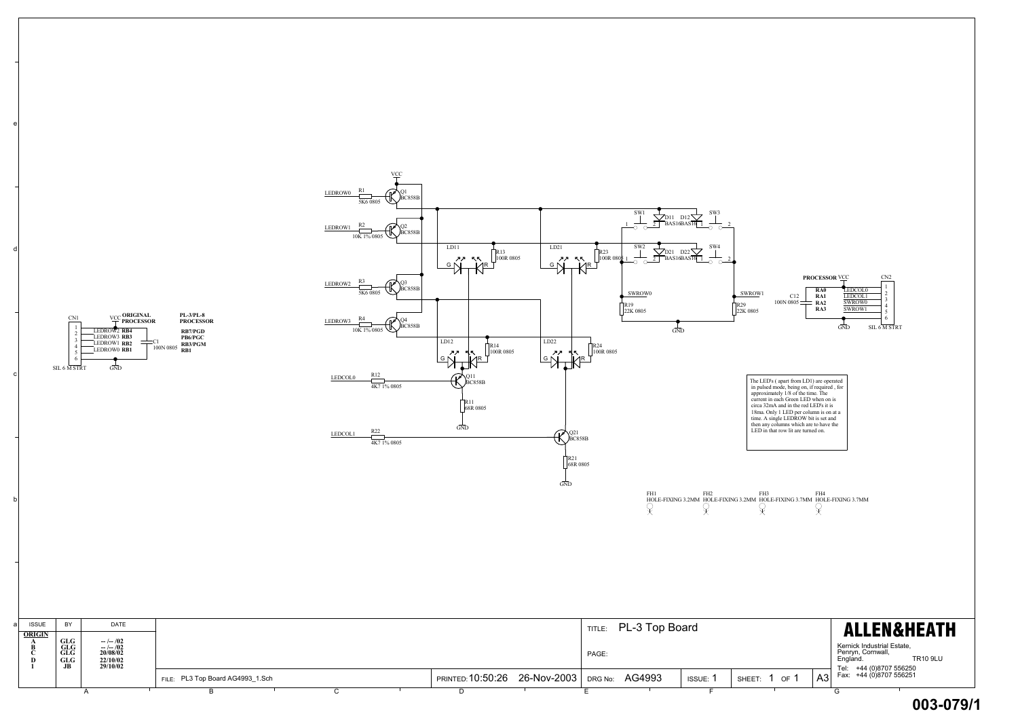e

Kernick Industrial Estate, Penryn, Cornwall, England. TR10 9LU  $\begin{array}{|c|c|c|c|}\n\hline\n\text{H1} & \text{H2} & \text{H3} & \text{H4} & \text{H5} & \text{H6} \\
\hline\n\text{H1} & \text{H2} & \text{H3} & \text{H4} & \text{H4} & \text{H5} & \text{H6} \\
\hline\n\text{H3} & \text{H4} & \text{H4} & \text{H5} & \text{H5} & \text{H6} & \text{H6} & \text{H6} & \text{H6} \\
\hline\n\text{H5} & \text{H6} & \text{H7} & \text{H8} & \text{H8}$ 



| <b>ATA</b><br><b>GLG</b><br><b>JB</b> | 20/08/02<br>22/10/02<br>29/10/02 |                            |  |  |                                         |             |         | PAGE:                                                                    |  |  |                     | Englánó | Feili yn, Comwall,<br><b>TR10 9LI</b><br>(0)870755625 |  |
|---------------------------------------|----------------------------------|----------------------------|--|--|-----------------------------------------|-------------|---------|--------------------------------------------------------------------------|--|--|---------------------|---------|-------------------------------------------------------|--|
|                                       |                                  | PL3 Top Board AG4993_1.Sch |  |  | :10:50:26<br><b>PRINTED<sup>.</sup></b> | 26-Nov-2003 | DRG No: | <b>E</b><br>AG4993<br>$\Delta$ 3<br>OF<br><b>ISSUE:</b><br>SHEET:<br>n∪. |  |  | +44 (0)8707 55625 ו |         |                                                       |  |
|                                       |                                  |                            |  |  |                                         |             |         |                                                                          |  |  |                     |         |                                                       |  |

**003-079/1**